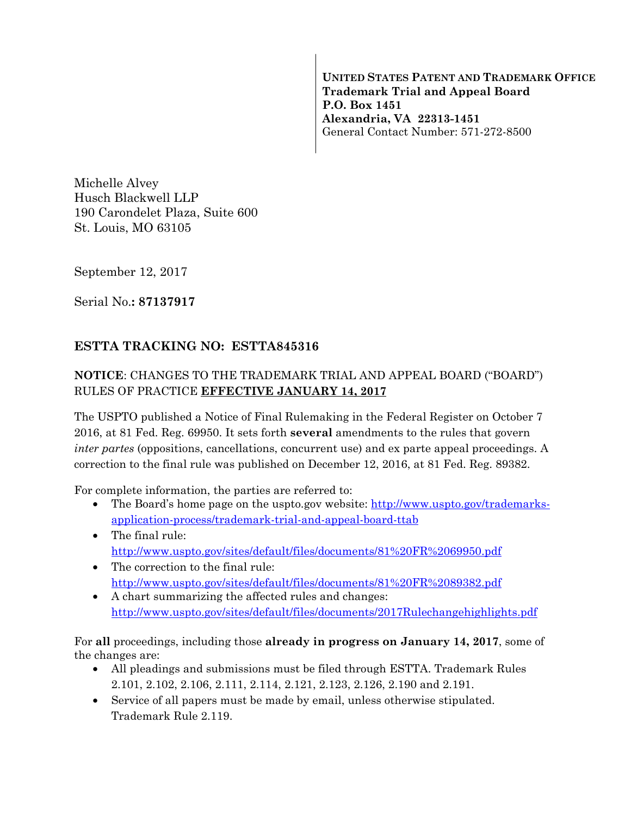**UNITED STATES PATENT AND TRADEMARK OFFICE Trademark Trial and Appeal Board P.O. Box 1451 Alexandria, VA 22313-1451**  General Contact Number: 571-272-8500

Michelle Alvey Husch Blackwell LLP 190 Carondelet Plaza, Suite 600 St. Louis, MO 63105

September 12, 2017

Serial No.**: 87137917** 

## **ESTTA TRACKING NO: ESTTA845316**

## **NOTICE**: CHANGES TO THE TRADEMARK TRIAL AND APPEAL BOARD ("BOARD") RULES OF PRACTICE **EFFECTIVE JANUARY 14, 2017**

The USPTO published a Notice of Final Rulemaking in the Federal Register on October 7 2016, at 81 Fed. Reg. 69950. It sets forth **several** amendments to the rules that govern *inter partes* (oppositions, cancellations, concurrent use) and ex parte appeal proceedings. A correction to the final rule was published on December 12, 2016, at 81 Fed. Reg. 89382.

For complete information, the parties are referred to:

- The Board's home page on the uspto.gov website: http://www.uspto.gov/trademarksapplication-process/trademark-trial-and-appeal-board-ttab
- The final rule: http://www.uspto.gov/sites/default/files/documents/81%20FR%2069950.pdf
- The correction to the final rule: http://www.uspto.gov/sites/default/files/documents/81%20FR%2089382.pdf
- A chart summarizing the affected rules and changes: http://www.uspto.gov/sites/default/files/documents/2017Rulechangehighlights.pdf

For **all** proceedings, including those **already in progress on January 14, 2017**, some of the changes are:

- All pleadings and submissions must be filed through ESTTA. Trademark Rules 2.101, 2.102, 2.106, 2.111, 2.114, 2.121, 2.123, 2.126, 2.190 and 2.191.
- Service of all papers must be made by email, unless otherwise stipulated. Trademark Rule 2.119.